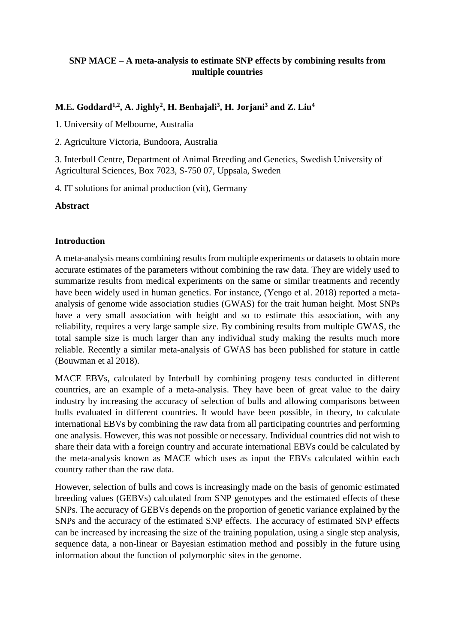# **SNP MACE – A meta-analysis to estimate SNP effects by combining results from multiple countries**

# **M.E. Goddard1,2, A. Jighly<sup>2</sup> , H. Benhajali<sup>3</sup> , H. Jorjani<sup>3</sup> and Z. Liu<sup>4</sup>**

1. University of Melbourne, Australia

2. Agriculture Victoria, Bundoora, Australia

3. Interbull Centre, Department of Animal Breeding and Genetics, Swedish University of Agricultural Sciences, Box 7023, S-750 07, Uppsala, Sweden

4. IT solutions for animal production (vit), Germany

**Abstract**

# **Introduction**

A meta-analysis means combining results from multiple experiments or datasets to obtain more accurate estimates of the parameters without combining the raw data. They are widely used to summarize results from medical experiments on the same or similar treatments and recently have been widely used in human genetics. For instance, (Yengo et al. 2018) reported a metaanalysis of genome wide association studies (GWAS) for the trait human height. Most SNPs have a very small association with height and so to estimate this association, with any reliability, requires a very large sample size. By combining results from multiple GWAS, the total sample size is much larger than any individual study making the results much more reliable. Recently a similar meta-analysis of GWAS has been published for stature in cattle (Bouwman et al 2018).

MACE EBVs, calculated by Interbull by combining progeny tests conducted in different countries, are an example of a meta-analysis. They have been of great value to the dairy industry by increasing the accuracy of selection of bulls and allowing comparisons between bulls evaluated in different countries. It would have been possible, in theory, to calculate international EBVs by combining the raw data from all participating countries and performing one analysis. However, this was not possible or necessary. Individual countries did not wish to share their data with a foreign country and accurate international EBVs could be calculated by the meta-analysis known as MACE which uses as input the EBVs calculated within each country rather than the raw data.

However, selection of bulls and cows is increasingly made on the basis of genomic estimated breeding values (GEBVs) calculated from SNP genotypes and the estimated effects of these SNPs. The accuracy of GEBVs depends on the proportion of genetic variance explained by the SNPs and the accuracy of the estimated SNP effects. The accuracy of estimated SNP effects can be increased by increasing the size of the training population, using a single step analysis, sequence data, a non-linear or Bayesian estimation method and possibly in the future using information about the function of polymorphic sites in the genome.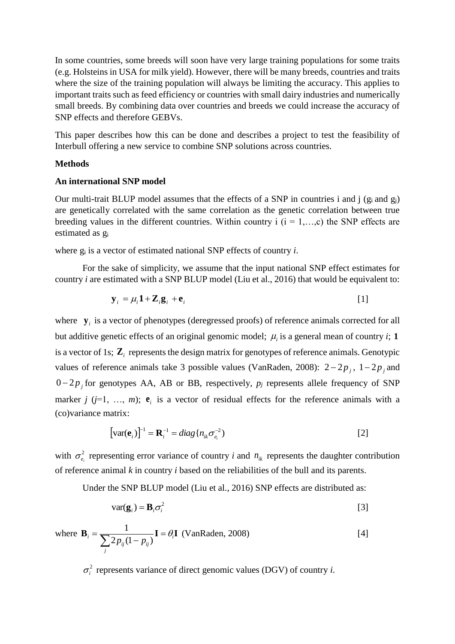In some countries, some breeds will soon have very large training populations for some traits (e.g. Holsteins in USA for milk yield). However, there will be many breeds, countries and traits where the size of the training population will always be limiting the accuracy. This applies to important traits such as feed efficiency or countries with small dairy industries and numerically small breeds. By combining data over countries and breeds we could increase the accuracy of SNP effects and therefore GEBVs.

This paper describes how this can be done and describes a project to test the feasibility of Interbull offering a new service to combine SNP solutions across countries.

### **Methods**

### **An international SNP model**

Our multi-trait BLUP model assumes that the effects of a SNP in countries i and j  $(g_i \text{ and } g_j)$ are genetically correlated with the same correlation as the genetic correlation between true breeding values in the different countries. Within country i  $(i = 1, \ldots, c)$  the SNP effects are estimated as g<sup>i</sup>

where g<sup>i</sup> is a vector of estimated national SNP effects of country *i*.

For the sake of simplicity, we assume that the input national SNP effect estimates for country *i* are estimated with a SNP BLUP model (Liu et al., 2016) that would be equivalent to:

$$
\mathbf{y}_i = \mu_i \mathbf{1} + \mathbf{Z}_i \mathbf{g}_i + \mathbf{e}_i
$$
 [1]

where  $\mathbf{y}_i$  is a vector of phenotypes (deregressed proofs) of reference animals corrected for all but additive genetic effects of an original genomic model;  $\mu_i$  is a general mean of country *i*; 1 is a vector of 1s;  $\mathbf{Z}_i$  represents the design matrix for genotypes of reference animals. Genotypic values of reference animals take 3 possible values (VanRaden, 2008):  $2-2p_j$ ,  $1-2p_j$  and  $0 - 2p_j$  for genotypes AA, AB or BB, respectively,  $p_j$  represents allele frequency of SNP marker *j* ( $j=1, \ldots, m$ );  $e_i$  is a vector of residual effects for the reference animals with a (co)variance matrix:

$$
\left[\text{var}(\mathbf{e}_i)\right]^{-1} = \mathbf{R}_i^{-1} = diag\{n_{ik}\sigma_{e_i}^{-2}\}\tag{2}
$$

with  $\sigma_e^2$  $\sigma_{e_i}^2$  representing error variance of country *i* and  $n_{ik}$  represents the daughter contribution of reference animal *k* in country *i* based on the reliabilities of the bull and its parents.

Under the SNP BLUP model (Liu et al., 2016) SNP effects are distributed as:

$$
var(\mathbf{g}_i) = \mathbf{B}_i \sigma_i^2
$$
 [3]

where 
$$
\mathbf{B}_i = \frac{1}{\sum_j 2p_{ij}(1-p_{ij})}\mathbf{I} = \theta_i \mathbf{I}
$$
 (VanRaden, 2008) [4]

 $\sigma_i^2$  represents variance of direct genomic values (DGV) of country *i*.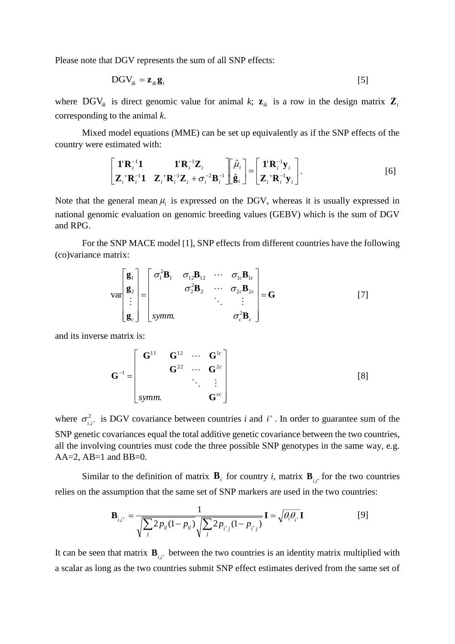Please note that DGV represents the sum of all SNP effects:

$$
DGV_{ik} = \mathbf{z}_{ik}\mathbf{g}_i
$$
 [5]

where DGV<sub>ik</sub> is direct genomic value for animal k;  $z_{ik}$  is a row in the design matrix  $\mathbf{Z}_{i}$ corresponding to the animal *k*.

Mixed model equations (MME) can be set up equivalently as if the SNP effects of the country were estimated with:

$$
\begin{bmatrix} \mathbf{1}^{\mathsf{T}} \mathbf{R}_{i}^{-1} \mathbf{1} & \mathbf{1}^{\mathsf{T}} \mathbf{R}_{i}^{-1} \mathbf{Z}_{i} \\ \mathbf{Z}_{i}^{\mathsf{T}} \mathbf{R}_{i}^{-1} \mathbf{1} & \mathbf{Z}_{i}^{\mathsf{T}} \mathbf{R}_{i}^{-1} \mathbf{Z}_{i} + \sigma_{i}^{-2} \mathbf{B}_{i}^{-1} \end{bmatrix} \begin{bmatrix} \hat{\mu}_{i} \\ \hat{\mathbf{g}}_{i} \end{bmatrix} = \begin{bmatrix} \mathbf{1}^{\mathsf{T}} \mathbf{R}_{i}^{-1} \mathbf{y}_{i} \\ \mathbf{Z}_{i}^{\mathsf{T}} \mathbf{R}_{i}^{-1} \mathbf{y}_{i} \end{bmatrix}.
$$
 [6]

Note that the general mean  $\mu_i$  is expressed on the DGV, whereas it is usually expressed in national genomic evaluation on genomic breeding values (GEBV) which is the sum of DGV and RPG.

For the SNP MACE model [1], SNP effects from different countries have the following (co)variance matrix:

$$
\mathbf{var}\begin{bmatrix} \mathbf{g}_1 \\ \mathbf{g}_2 \\ \vdots \\ \mathbf{g}_c \end{bmatrix} = \begin{bmatrix} \sigma_1^2 \mathbf{B}_1 & \sigma_{12} \mathbf{B}_{12} & \cdots & \sigma_{1c} \mathbf{B}_{1c} \\ \sigma_2^2 \mathbf{B}_2 & \cdots & \sigma_{2c} \mathbf{B}_{2c} \\ \vdots & \ddots & \vdots \\ \text{symm.} & \sigma_c^2 \mathbf{B}_c \end{bmatrix} = \mathbf{G} \qquad [7]
$$

and its inverse matrix is:

$$
\mathbf{G}^{-1} = \begin{bmatrix} \mathbf{G}^{11} & \mathbf{G}^{12} & \cdots & \mathbf{G}^{1c} \\ \mathbf{G}^{22} & \cdots & \mathbf{G}^{2c} \\ \vdots & \vdots & \vdots \\ \text{symm.} & \mathbf{G}^{cc} \end{bmatrix}
$$
 [8]

where  $\sigma_i^2$  $\sigma_{i,i^+}^2$  is DGV covariance between countries *i* and  $i^+$ . In order to guarantee sum of the SNP genetic covariances equal the total additive genetic covariance between the two countries, all the involving countries must code the three possible SNP genotypes in the same way, e.g.  $AA=2$ ,  $AB=1$  and  $BB=0$ .

Similar to the definition of matrix  $\mathbf{B}_i$  for country *i*, matrix  $\mathbf{B}_{i,i^*}$  for the two countries relies on the assumption that the same set of SNP markers are used in the two countries:

$$
\mathbf{B}_{i,i^*} = \frac{1}{\sqrt{\sum_{j} 2p_{ij}(1-p_{ij})} \sqrt{\sum_{j} 2p_{i^*j}(1-p_{i^*j})}} \mathbf{I} = \sqrt{\theta_i \theta_{i^*}} \mathbf{I}
$$
 [9]

It can be seen that matrix  $\mathbf{B}_{i,i^+}$  between the two countries is an identity matrix multiplied with a scalar as long as the two countries submit SNP effect estimates derived from the same set of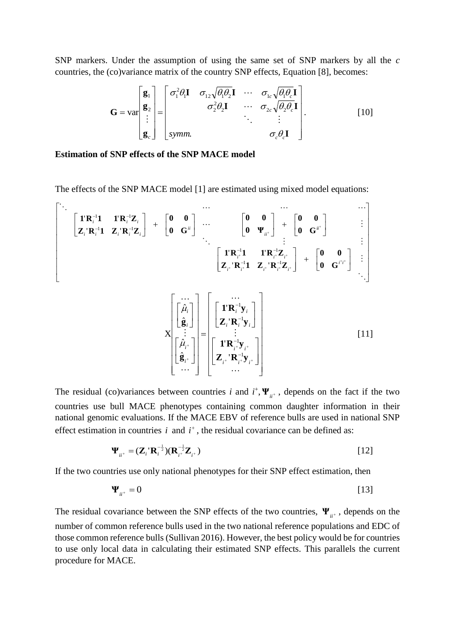SNP markers. Under the assumption of using the same set of SNP markers by all the *c* countries, the (co)variance matrix of the country SNP effects, Equation [8], becomes:

$$
\mathbf{G} = \text{var}\begin{bmatrix} \mathbf{g}_1 \\ \mathbf{g}_2 \\ \vdots \\ \mathbf{g}_c \end{bmatrix} = \begin{bmatrix} \sigma_1^2 \theta_1 \mathbf{I} & \sigma_{12} \sqrt{\theta_1 \theta_2} \mathbf{I} & \cdots & \sigma_{1c} \sqrt{\theta_1 \theta_c} \mathbf{I} \\ \sigma_2^2 \theta_2 \mathbf{I} & \cdots & \sigma_{2c} \sqrt{\theta_2 \theta_c} \mathbf{I} \\ \vdots & \vdots & \vdots \\ \text{symm.} & \sigma_c \theta_c \mathbf{I} \end{bmatrix} . \tag{10}
$$

#### **Estimation of SNP effects of the SNP MACE model**

The effects of the SNP MACE model [1] are estimated using mixed model equations:

$$
\begin{bmatrix}\n\mathbf{i} & \mathbf{R}_{i}^{-1} \mathbf{1} & \mathbf{1} \mathbf{R}_{i}^{-1} \mathbf{Z}_{i} \\
\mathbf{Z}_{i} \mathbf{R}_{i}^{-1} \mathbf{1} & \mathbf{Z}_{i} \mathbf{R}_{i}^{-1} \mathbf{Z}_{i}\n\end{bmatrix} + \begin{bmatrix}\n\mathbf{0} & \mathbf{0} \\
\mathbf{0} & \mathbf{G}^{ii}\n\end{bmatrix} \cdots\n\begin{bmatrix}\n\mathbf{0} & \mathbf{0} \\
\mathbf{0} & \mathbf{\Psi}_{ii}^{+}\n\end{bmatrix} + \begin{bmatrix}\n\mathbf{0} & \mathbf{0} \\
\mathbf{0} & \mathbf{G}^{ii}^{+}\n\end{bmatrix} \qquad \vdots \\
\mathbf{Z}_{i} \mathbf{R}_{i}^{-1} \mathbf{1} & \mathbf{Z}_{i} \mathbf{R}_{i}^{-1} \mathbf{Z}_{i} \\
\mathbf{Z}_{i} \mathbf{R}_{i}^{-1} \mathbf{1} & \mathbf{Z}_{i} \mathbf{R}_{i}^{-1} \mathbf{Z}_{i} \\
\mathbf{Z}_{i} \mathbf{R}_{i}^{-1} \mathbf{Z}_{i} \\
\mathbf{Z}_{i} \mathbf{R}_{i}^{-1} \mathbf{Z}_{i} \\
\mathbf{Z}_{i} \mathbf{R}_{i}^{-1} \mathbf{Z}_{i} \\
\mathbf{Z}_{i} \mathbf{R}_{i}^{-1} \mathbf{y}_{i}\n\end{bmatrix} = \begin{bmatrix}\n\mathbf{i} & \mathbf{R}_{i}^{-1} & \mathbf{j} & \mathbf{k} \\
\mathbf{j} & \mathbf{k} & \mathbf{k} \\
\mathbf{k} & \mathbf{k} & \mathbf{k} \\
\mathbf{k} & \mathbf{k} & \mathbf{k} \\
\mathbf{k} & \mathbf{k} & \mathbf{k} \\
\mathbf{k} & \mathbf{k} & \mathbf{k} \\
\mathbf{k} & \mathbf{k} & \mathbf{k} \\
\mathbf{k} & \mathbf{k} & \mathbf{k} \\
\mathbf{k} & \mathbf{k} & \mathbf{k} \\
\mathbf{k} & \mathbf{k} & \mathbf{k} \\
\mathbf{k} & \mathbf{k} & \mathbf{k} \\
\mathbf{k} & \mathbf{k} & \mathbf{k} \\
\mathbf{k} & \mathbf{k} & \mathbf{k} \\
\mathbf{k} & \mathbf{k} & \
$$

The residual (co)variances between countries *i* and  $i^+$ ,  $\Psi_{ii^+}$ , depends on the fact if the two countries use bull MACE phenotypes containing common daughter information in their national genomic evaluations. If the MACE EBV of reference bulls are used in national SNP effect estimation in countries  $i$  and  $i^+$ , the residual covariance can be defined as:

$$
\mathbf{\Psi}_{ii^+} = (\mathbf{Z}_i^{\top} \mathbf{R}_i^{-\frac{1}{2}}) (\mathbf{R}_{i^+}^{-\frac{1}{2}} \mathbf{Z}_{i^+})
$$
\n[12]

If the two countries use only national phenotypes for their SNP effect estimation, then

$$
\Psi_{ii^+} = 0 \tag{13}
$$

The residual covariance between the SNP effects of the two countries,  $\Psi_{ii^+}$ , depends on the number of common reference bulls used in the two national reference populations and EDC of those common reference bulls (Sullivan 2016). However, the best policy would be for countries to use only local data in calculating their estimated SNP effects. This parallels the current procedure for MACE.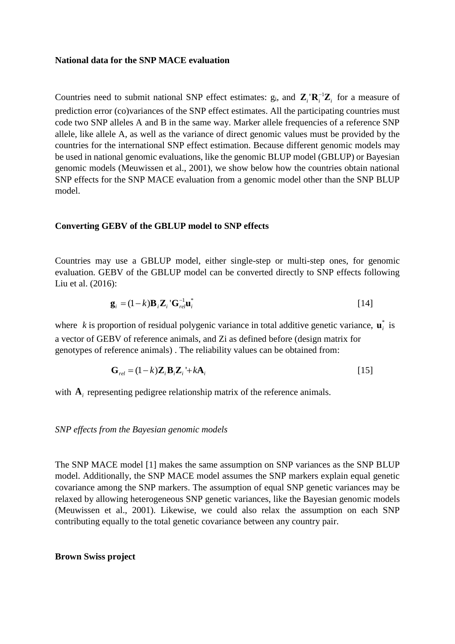#### **National data for the SNP MACE evaluation**

Countries need to submit national SNP effect estimates:  $g_i$ , and  $\mathbf{Z}_i \cdot \mathbf{R}_i^{-1} \mathbf{Z}_i$  for a measure of prediction error (co)variances of the SNP effect estimates. All the participating countries must code two SNP alleles A and B in the same way. Marker allele frequencies of a reference SNP allele, like allele A, as well as the variance of direct genomic values must be provided by the countries for the international SNP effect estimation. Because different genomic models may be used in national genomic evaluations, like the genomic BLUP model (GBLUP) or Bayesian genomic models (Meuwissen et al., 2001), we show below how the countries obtain national SNP effects for the SNP MACE evaluation from a genomic model other than the SNP BLUP model.

### **Converting GEBV of the GBLUP model to SNP effects**

Countries may use a GBLUP model, either single-step or multi-step ones, for genomic evaluation. GEBV of the GBLUP model can be converted directly to SNP effects following Liu et al. (2016):

$$
\mathbf{g}_i = (1 - k)\mathbf{B}_i \mathbf{Z}_i \mathbf{G}_{rel}^{-1} \mathbf{u}_i^*
$$

where k is proportion of residual polygenic variance in total additive genetic variance,  $\mathbf{u}_i^*$  is a vector of GEBV of reference animals, and Zi as defined before (design matrix for genotypes of reference animals) . The reliability values can be obtained from:

$$
\mathbf{G}_{rel} = (1 - k)\mathbf{Z}_i \mathbf{B}_i \mathbf{Z}_i + k\mathbf{A}_i
$$
 [15]

with  $A_i$  representing pedigree relationship matrix of the reference animals.

*SNP effects from the Bayesian genomic models* 

The SNP MACE model [1] makes the same assumption on SNP variances as the SNP BLUP model. Additionally, the SNP MACE model assumes the SNP markers explain equal genetic covariance among the SNP markers. The assumption of equal SNP genetic variances may be relaxed by allowing heterogeneous SNP genetic variances, like the Bayesian genomic models (Meuwissen et al., 2001). Likewise, we could also relax the assumption on each SNP contributing equally to the total genetic covariance between any country pair.

#### **Brown Swiss project**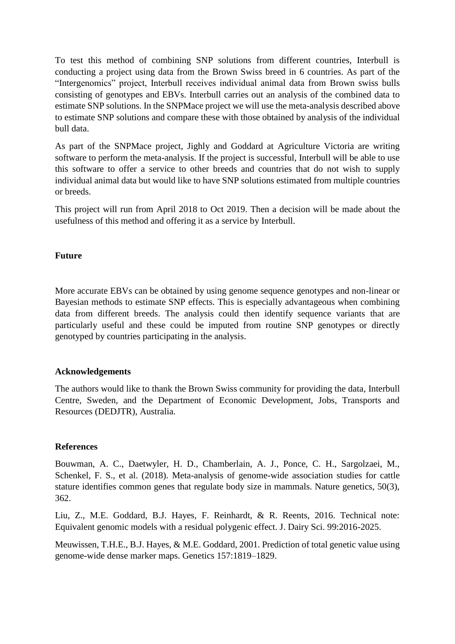To test this method of combining SNP solutions from different countries, Interbull is conducting a project using data from the Brown Swiss breed in 6 countries. As part of the "Intergenomics" project, Interbull receives individual animal data from Brown swiss bulls consisting of genotypes and EBVs. Interbull carries out an analysis of the combined data to estimate SNP solutions. In the SNPMace project we will use the meta-analysis described above to estimate SNP solutions and compare these with those obtained by analysis of the individual bull data.

As part of the SNPMace project, Jighly and Goddard at Agriculture Victoria are writing software to perform the meta-analysis. If the project is successful, Interbull will be able to use this software to offer a service to other breeds and countries that do not wish to supply individual animal data but would like to have SNP solutions estimated from multiple countries or breeds.

This project will run from April 2018 to Oct 2019. Then a decision will be made about the usefulness of this method and offering it as a service by Interbull.

## **Future**

More accurate EBVs can be obtained by using genome sequence genotypes and non-linear or Bayesian methods to estimate SNP effects. This is especially advantageous when combining data from different breeds. The analysis could then identify sequence variants that are particularly useful and these could be imputed from routine SNP genotypes or directly genotyped by countries participating in the analysis.

## **Acknowledgements**

The authors would like to thank the Brown Swiss community for providing the data, Interbull Centre, Sweden, and the Department of Economic Development, Jobs, Transports and Resources (DEDJTR), Australia.

## **References**

Bouwman, A. C., Daetwyler, H. D., Chamberlain, A. J., Ponce, C. H., Sargolzaei, M., Schenkel, F. S., et al. (2018). Meta-analysis of genome-wide association studies for cattle stature identifies common genes that regulate body size in mammals. Nature genetics, 50(3), 362.

Liu, Z., M.E. Goddard, B.J. Hayes, F. Reinhardt, & R. Reents, 2016. Technical note: Equivalent genomic models with a residual polygenic effect. J. Dairy Sci. 99:2016-2025.

Meuwissen, T.H.E., B.J. Hayes, & M.E. Goddard, 2001. Prediction of total genetic value using genome-wide dense marker maps. Genetics 157:1819–1829.